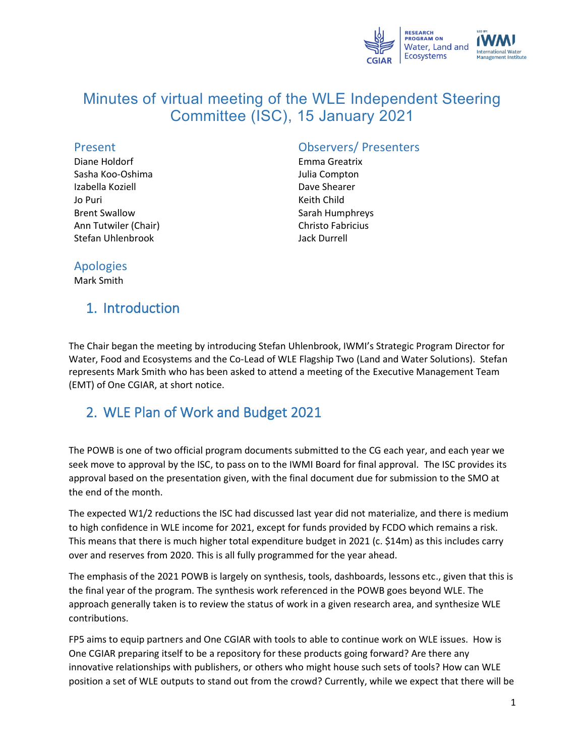

# Minutes of virtual meeting of the WLE Independent Steering Committee (ISC), 15 January 2021

#### Present

Diane Holdorf Sasha Koo-Oshima Izabella Koziell Jo Puri Brent Swallow Ann Tutwiler (Chair) Stefan Uhlenbrook

### Observers/ Presenters

Emma Greatrix Julia Compton Dave Shearer Keith Child Sarah Humphreys Christo Fabricius Jack Durrell

#### Apologies

Mark Smith

## 1. Introduction

The Chair began the meeting by introducing Stefan Uhlenbrook, IWMI's Strategic Program Director for Water, Food and Ecosystems and the Co-Lead of WLE Flagship Two (Land and Water Solutions). Stefan represents Mark Smith who has been asked to attend a meeting of the [Executive Management Team](https://www.cgiar.org/news-events/news/delivering-as-one-cgiar-inaugural-cgiar-executive-management-team-announced/) (EMT) of One [CGIAR,](https://www.cgiar.org/news-events/news/delivering-as-one-cgiar-inaugural-cgiar-executive-management-team-announced/) at short notice.

## 2. WLE Plan of Work and Budget 2021

The POWB is one of two official program documents submitted to the CG each year, and each year we seek move to approval by the ISC, to pass on to the IWMI Board for final approval. The ISC provides its approval based on the presentation given, with the final document due for submission to the SMO at the end of the month.

The expected W1/2 reductions the ISC had discussed last year did not materialize, and there is medium to high confidence in WLE income for 2021, except for funds provided by FCDO which remains a risk. This means that there is much higher total expenditure budget in 2021 (c. \$14m) as this includes carry over and reserves from 2020. This is all fully programmed for the year ahead.

The emphasis of the 2021 POWB is largely on synthesis, tools, dashboards, lessons etc., given that this is the final year of the program. The synthesis work referenced in the POWB goes beyond WLE. The approach generally taken is to review the status of work in a given research area, and synthesize WLE contributions.

FP5 aims to equip partners and One CGIAR with tools to able to continue work on WLE issues. How is One CGIAR preparing itself to be a repository for these products going forward? Are there any innovative relationships with publishers, or others who might house such sets of tools? How can WLE position a set of WLE outputs to stand out from the crowd? Currently, while we expect that there will be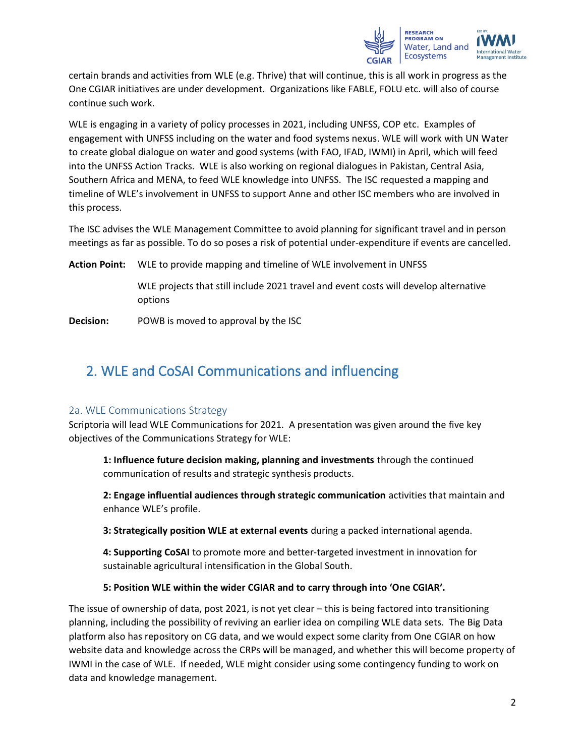

certain brands and activities from WLE (e.g. Thrive) that will continue, this is all work in progress as the One CGIAR initiatives are under development. Organizations like FABLE, FOLU etc. will also of course continue such work.

WLE is engaging in a variety of policy processes in 2021, including UNFSS, COP etc. Examples of engagement with UNFSS including on the water and food systems nexus. WLE will work with UN Water to create global dialogue on water and good systems (with FAO, IFAD, IWMI) in April, which will feed into the UNFSS Action Tracks. WLE is also working on regional dialogues in Pakistan, Central Asia, Southern Africa and MENA, to feed WLE knowledge into UNFSS. The ISC requested a mapping and timeline of WLE's involvement in UNFSS to support Anne and other ISC members who are involved in this process.

The ISC advises the WLE Management Committee to avoid planning for significant travel and in person meetings as far as possible. To do so poses a risk of potential under-expenditure if events are cancelled.

**Action Point:** WLE to provide mapping and timeline of WLE involvement in UNFSS

WLE projects that still include 2021 travel and event costs will develop alternative options

**Decision:** POWB is moved to approval by the ISC

# 2. WLE and CoSAI Communications and influencing

#### 2a. WLE Communications Strategy

Scriptoria will lead WLE Communications for 2021. A presentation was given around the five key objectives of the Communications Strategy for WLE:

**1: Influence future decision making, planning and investments** through the continued communication of results and strategic synthesis products.

**2: Engage influential audiences through strategic communication** activities that maintain and enhance WLE's profile.

**3: Strategically position WLE at external events** during a packed international agenda.

**4: Supporting CoSAI** to promote more and better-targeted investment in innovation for sustainable agricultural intensification in the Global South.

#### **5: Position WLE within the wider CGIAR and to carry through into 'One CGIAR'.**

The issue of ownership of data, post 2021, is not yet clear – this is being factored into transitioning planning, including the possibility of reviving an earlier idea on compiling WLE data sets. The Big Data platform also has repository on CG data, and we would expect some clarity from One CGIAR on how website data and knowledge across the CRPs will be managed, and whether this will become property of IWMI in the case of WLE. If needed, WLE might consider using some contingency funding to work on data and knowledge management.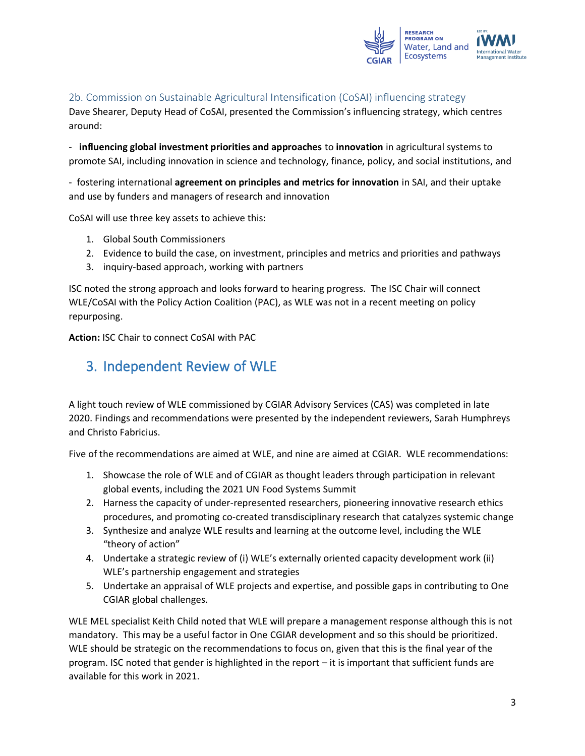

### 2b. Commission on Sustainable Agricultural Intensification (CoSAI) influencing strategy

Dave Shearer, Deputy Head of CoSAI, presented the Commission's influencing strategy, which centres around:

- **influencing global investment priorities and approaches** to **innovation** in agricultural systems to promote SAI, including innovation in science and technology, finance, policy, and social institutions, and

- fostering international **agreement on principles and metrics for innovation** in SAI, and their uptake and use by funders and managers of research and innovation

CoSAI will use three key assets to achieve this:

- 1. Global South Commissioners
- 2. Evidence to build the case, on investment, principles and metrics and priorities and pathways
- 3. inquiry-based approach, working with partners

ISC noted the strong approach and looks forward to hearing progress. The ISC Chair will connect WLE/CoSAI with the Policy Action Coalition (PAC), as WLE was not in a recent meeting on policy repurposing.

**Action:** ISC Chair to connect CoSAI with PAC

### 3. Independent Review of WLE

A light touch review of WLE commissioned by CGIAR Advisory Services (CAS) was completed in late 2020. Findings and recommendations were presented by the independent reviewers, Sarah Humphreys and Christo Fabricius.

Five of the recommendations are aimed at WLE, and nine are aimed at CGIAR. WLE recommendations:

- 1. Showcase the role of WLE and of CGIAR as thought leaders through participation in relevant global events, including the 2021 UN Food Systems Summit
- 2. Harness the capacity of under-represented researchers, pioneering innovative research ethics procedures, and promoting co-created transdisciplinary research that catalyzes systemic change
- 3. Synthesize and analyze WLE results and learning at the outcome level, including the WLE "theory of action"
- 4. Undertake a strategic review of (i) WLE's externally oriented capacity development work (ii) WLE's partnership engagement and strategies
- 5. Undertake an appraisal of WLE projects and expertise, and possible gaps in contributing to One CGIAR global challenges.

WLE MEL specialist Keith Child noted that WLE will prepare a management response although this is not mandatory. This may be a useful factor in One CGIAR development and so this should be prioritized. WLE should be strategic on the recommendations to focus on, given that this is the final year of the program. ISC noted that gender is highlighted in the report – it is important that sufficient funds are available for this work in 2021.